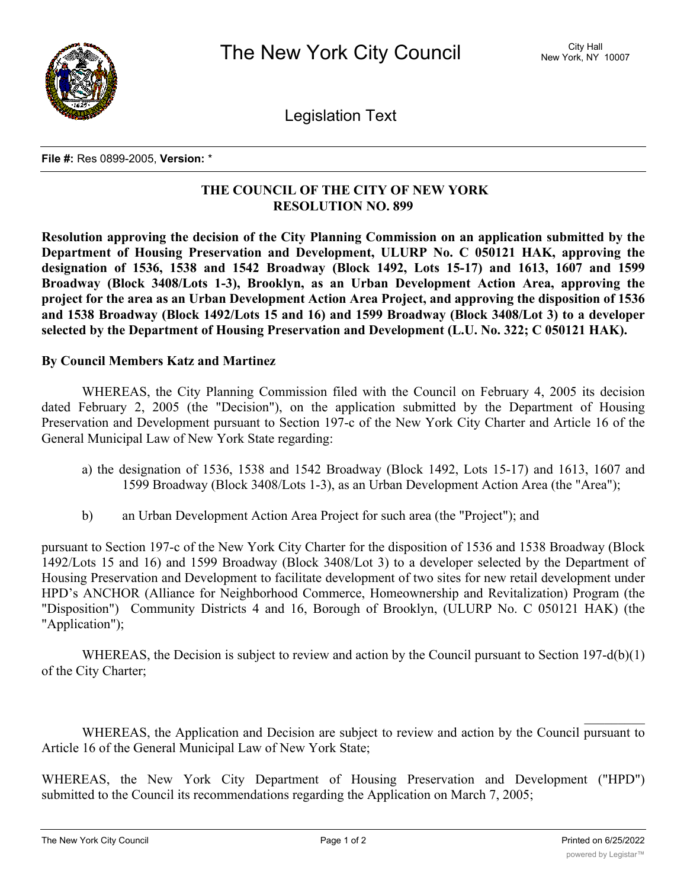

Legislation Text

**File #:** Res 0899-2005, **Version:** \*

## **THE COUNCIL OF THE CITY OF NEW YORK RESOLUTION NO. 899**

**Resolution approving the decision of the City Planning Commission on an application submitted by the Department of Housing Preservation and Development, ULURP No. C 050121 HAK, approving the designation of 1536, 1538 and 1542 Broadway (Block 1492, Lots 15-17) and 1613, 1607 and 1599 Broadway (Block 3408/Lots 1-3), Brooklyn, as an Urban Development Action Area, approving the project for the area as an Urban Development Action Area Project, and approving the disposition of 1536 and 1538 Broadway (Block 1492/Lots 15 and 16) and 1599 Broadway (Block 3408/Lot 3) to a developer selected by the Department of Housing Preservation and Development (L.U. No. 322; C 050121 HAK).**

## **By Council Members Katz and Martinez**

WHEREAS, the City Planning Commission filed with the Council on February 4, 2005 its decision dated February 2, 2005 (the "Decision"), on the application submitted by the Department of Housing Preservation and Development pursuant to Section 197-c of the New York City Charter and Article 16 of the General Municipal Law of New York State regarding:

- a) the designation of 1536, 1538 and 1542 Broadway (Block 1492, Lots 15-17) and 1613, 1607 and 1599 Broadway (Block 3408/Lots 1-3), as an Urban Development Action Area (the "Area");
- b) an Urban Development Action Area Project for such area (the "Project"); and

pursuant to Section 197-c of the New York City Charter for the disposition of 1536 and 1538 Broadway (Block 1492/Lots 15 and 16) and 1599 Broadway (Block 3408/Lot 3) to a developer selected by the Department of Housing Preservation and Development to facilitate development of two sites for new retail development under HPD's ANCHOR (Alliance for Neighborhood Commerce, Homeownership and Revitalization) Program (the "Disposition") Community Districts 4 and 16, Borough of Brooklyn, (ULURP No. C 050121 HAK) (the "Application");

WHEREAS, the Decision is subject to review and action by the Council pursuant to Section 197-d(b)(1) of the City Charter;

WHEREAS, the Application and Decision are subject to review and action by the Council pursuant to Article 16 of the General Municipal Law of New York State;

WHEREAS, the New York City Department of Housing Preservation and Development ("HPD") submitted to the Council its recommendations regarding the Application on March 7, 2005;